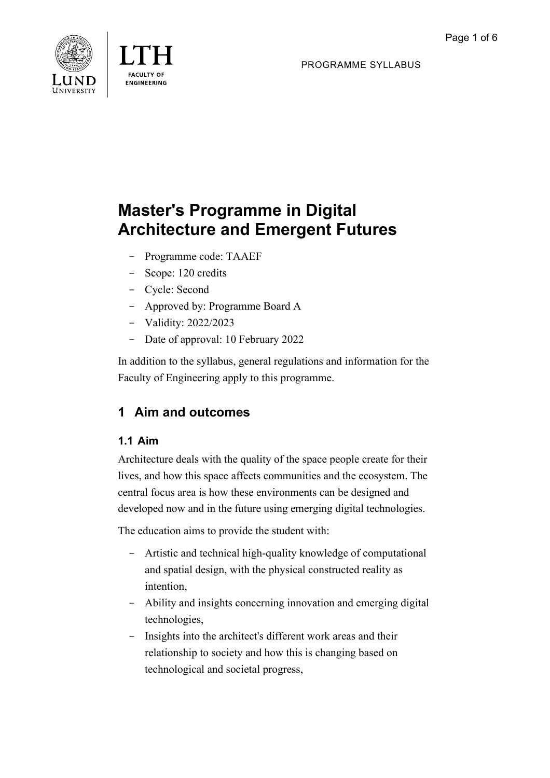PROGRAMME SYLLABUS





# **Master's Programme in Digital Architecture and Emergent Futures**

- Programme code: TAAEF
- Scope: 120 credits
- Cycle: Second
- Approved by: Programme Board A
- Validity: 2022/2023
- Date of approval: 10 February 2022

In addition to the syllabus, general regulations and information for the Faculty of Engineering apply to this programme.

## **1 Aim and outcomes**

### **1.1 Aim**

Architecture deals with the quality of the space people create for their lives, and how this space affects communities and the ecosystem. The central focus area is how these environments can be designed and developed now and in the future using emerging digital technologies.

The education aims to provide the student with:

- Artistic and technical high-quality knowledge of computational and spatial design, with the physical constructed reality as intention,
- Ability and insights concerning innovation and emerging digital technologies,
- Insights into the architect's different work areas and their relationship to society and how this is changing based on technological and societal progress,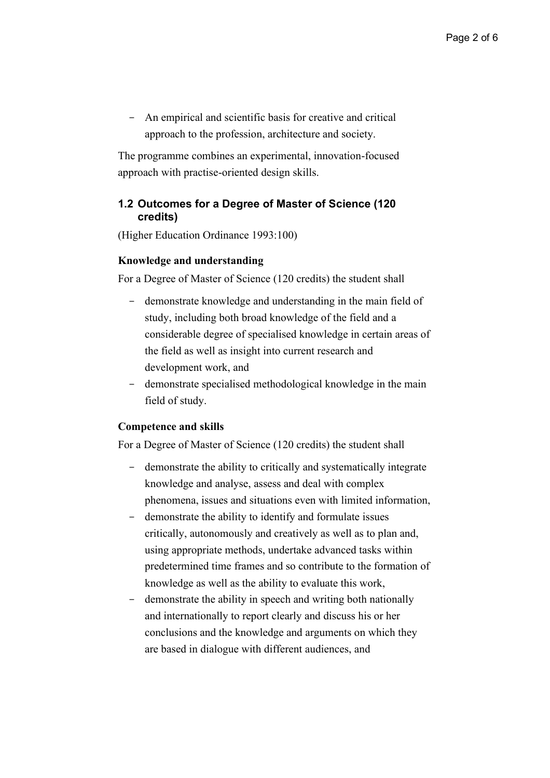- An empirical and scientific basis for creative and critical approach to the profession, architecture and society.

The programme combines an experimental, innovation-focused approach with practise-oriented design skills.

### **1.2 Outcomes for a Degree of Master of Science (120 credits)**

(Higher Education Ordinance 1993:100)

#### **Knowledge and understanding**

For a Degree of Master of Science (120 credits) the student shall

- demonstrate knowledge and understanding in the main field of study, including both broad knowledge of the field and a considerable degree of specialised knowledge in certain areas of the field as well as insight into current research and development work, and
- demonstrate specialised methodological knowledge in the main field of study.

#### **Competence and skills**

For a Degree of Master of Science (120 credits) the student shall

- demonstrate the ability to critically and systematically integrate knowledge and analyse, assess and deal with complex phenomena, issues and situations even with limited information,
- demonstrate the ability to identify and formulate issues critically, autonomously and creatively as well as to plan and, using appropriate methods, undertake advanced tasks within predetermined time frames and so contribute to the formation of knowledge as well as the ability to evaluate this work,
- demonstrate the ability in speech and writing both nationally and internationally to report clearly and discuss his or her conclusions and the knowledge and arguments on which they are based in dialogue with different audiences, and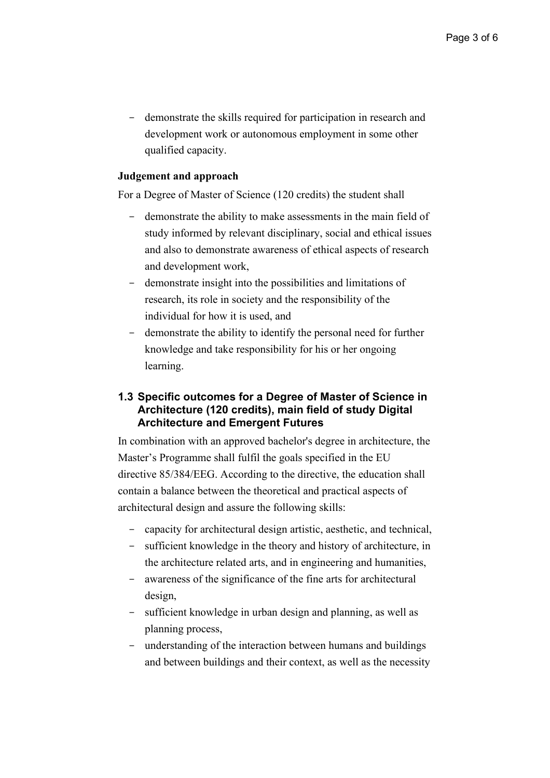- demonstrate the skills required for participation in research and development work or autonomous employment in some other qualified capacity.

### **Judgement and approach**

For a Degree of Master of Science (120 credits) the student shall

- demonstrate the ability to make assessments in the main field of study informed by relevant disciplinary, social and ethical issues and also to demonstrate awareness of ethical aspects of research and development work,
- demonstrate insight into the possibilities and limitations of research, its role in society and the responsibility of the individual for how it is used, and
- demonstrate the ability to identify the personal need for further knowledge and take responsibility for his or her ongoing learning.

### **1.3 Specific outcomes for a Degree of Master of Science in Architecture (120 credits), main field of study Digital Architecture and Emergent Futures**

In combination with an approved bachelor's degree in architecture, the Master's Programme shall fulfil the goals specified in the EU directive 85/384/EEG. According to the directive, the education shall contain a balance between the theoretical and practical aspects of architectural design and assure the following skills:

- capacity for architectural design artistic, aesthetic, and technical,
- sufficient knowledge in the theory and history of architecture, in the architecture related arts, and in engineering and humanities,
- awareness of the significance of the fine arts for architectural design,
- sufficient knowledge in urban design and planning, as well as planning process,
- understanding of the interaction between humans and buildings and between buildings and their context, as well as the necessity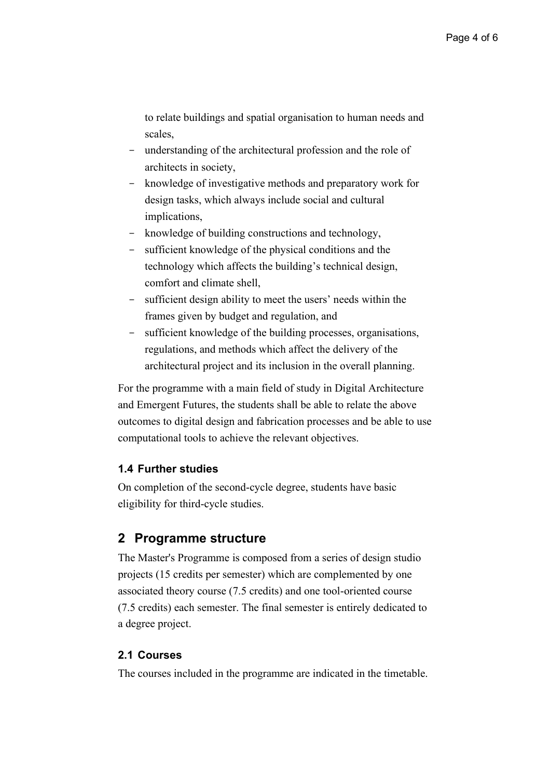to relate buildings and spatial organisation to human needs and scales,

- understanding of the architectural profession and the role of architects in society,
- knowledge of investigative methods and preparatory work for design tasks, which always include social and cultural implications,
- knowledge of building constructions and technology,
- sufficient knowledge of the physical conditions and the technology which affects the building's technical design, comfort and climate shell,
- sufficient design ability to meet the users' needs within the frames given by budget and regulation, and
- sufficient knowledge of the building processes, organisations, regulations, and methods which affect the delivery of the architectural project and its inclusion in the overall planning.

For the programme with a main field of study in Digital Architecture and Emergent Futures, the students shall be able to relate the above outcomes to digital design and fabrication processes and be able to use computational tools to achieve the relevant objectives.

### **1.4 Further studies**

On completion of the second-cycle degree, students have basic eligibility for third-cycle studies.

### **2 Programme structure**

The Master's Programme is composed from a series of design studio projects (15 credits per semester) which are complemented by one associated theory course (7.5 credits) and one tool-oriented course (7.5 credits) each semester. The final semester is entirely dedicated to a degree project.

### **2.1 Courses**

The courses included in the programme are indicated in the timetable.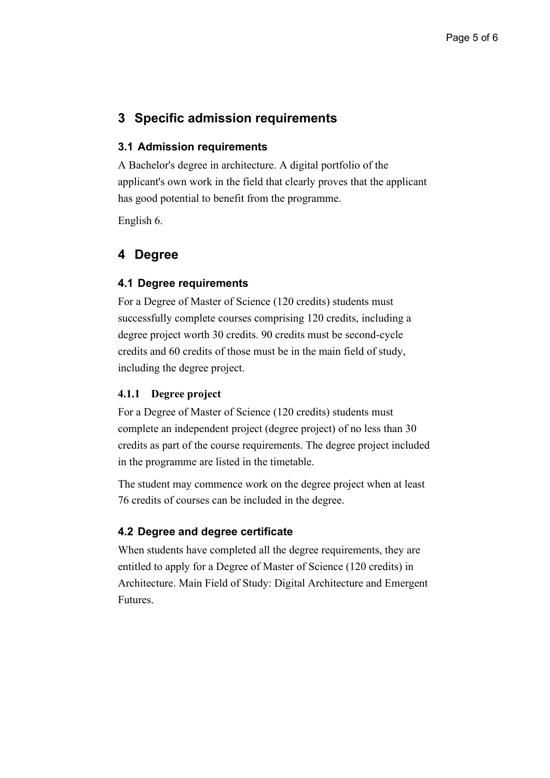### **3 Specific admission requirements**

#### **3.1 Admission requirements**

A Bachelor's degree in architecture. A digital portfolio of the applicant's own work in the field that clearly proves that the applicant has good potential to benefit from the programme.

English 6.

### **4 Degree**

#### **4.1 Degree requirements**

For a Degree of Master of Science (120 credits) students must successfully complete courses comprising 120 credits, including a degree project worth 30 credits. 90 credits must be second-cycle credits and 60 credits of those must be in the main field of study, including the degree project.

#### **4.1.1 Degree project**

For a Degree of Master of Science (120 credits) students must complete an independent project (degree project) of no less than 30 credits as part of the course requirements. The degree project included in the programme are listed in the timetable.

The student may commence work on the degree project when at least 76 credits of courses can be included in the degree.

### **4.2 Degree and degree certificate**

When students have completed all the degree requirements, they are entitled to apply for a Degree of Master of Science (120 credits) in Architecture. Main Field of Study: Digital Architecture and Emergent Futures.